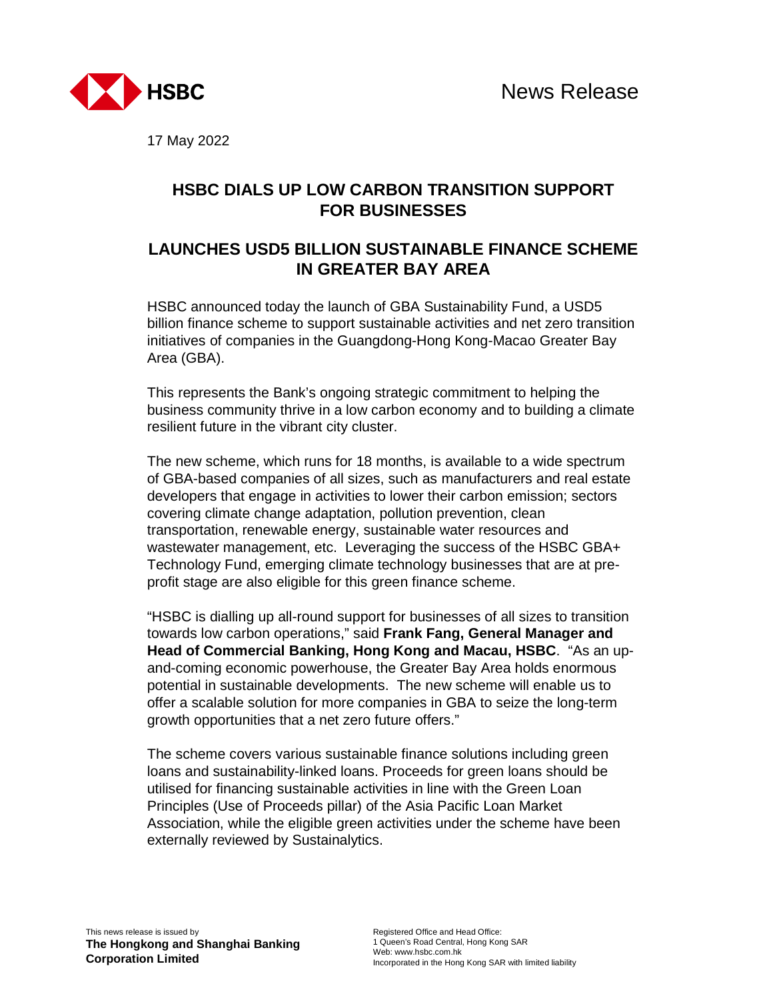

17 May 2022

## **HSBC DIALS UP LOW CARBON TRANSITION SUPPORT FOR BUSINESSES**

## **LAUNCHES USD5 BILLION SUSTAINABLE FINANCE SCHEME IN GREATER BAY AREA**

HSBC announced today the launch of GBA Sustainability Fund, a USD5 billion finance scheme to support sustainable activities and net zero transition initiatives of companies in the Guangdong-Hong Kong-Macao Greater Bay Area (GBA).

This represents the Bank's ongoing strategic commitment to helping the business community thrive in a low carbon economy and to building a climate resilient future in the vibrant city cluster.

The new scheme, which runs for 18 months, is available to a wide spectrum of GBA-based companies of all sizes, such as manufacturers and real estate developers that engage in activities to lower their carbon emission; sectors covering climate change adaptation, pollution prevention, clean transportation, renewable energy, sustainable water resources and wastewater management, etc. Leveraging the success of the HSBC GBA+ Technology Fund, emerging climate technology businesses that are at preprofit stage are also eligible for this green finance scheme.

"HSBC is dialling up all-round support for businesses of all sizes to transition towards low carbon operations," said **Frank Fang, General Manager and Head of Commercial Banking, Hong Kong and Macau, HSBC**. "As an upand-coming economic powerhouse, the Greater Bay Area holds enormous potential in sustainable developments. The new scheme will enable us to offer a scalable solution for more companies in GBA to seize the long-term growth opportunities that a net zero future offers."

The scheme covers various sustainable finance solutions including green loans and sustainability-linked loans. Proceeds for green loans should be utilised for financing sustainable activities in line with the Green Loan Principles (Use of Proceeds pillar) of the Asia Pacific Loan Market Association, while the eligible green activities under the scheme have been externally reviewed by Sustainalytics.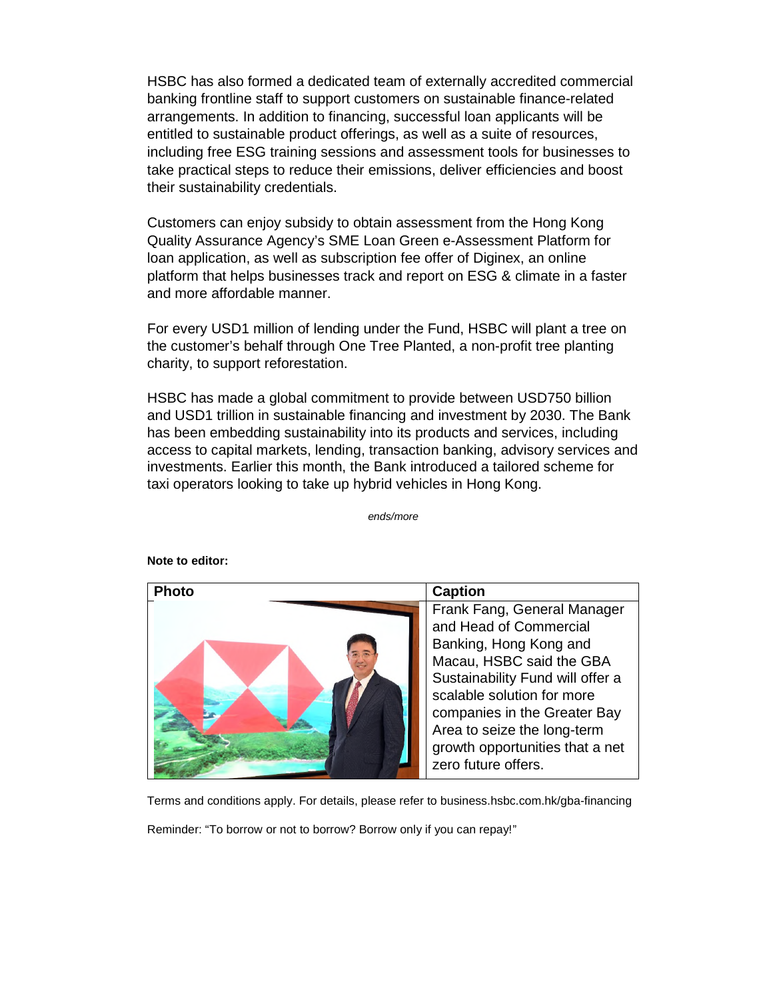HSBC has also formed a dedicated team of externally accredited commercial banking frontline staff to support customers on sustainable finance-related arrangements. In addition to financing, successful loan applicants will be entitled to sustainable product offerings, as well as a suite of resources, including free ESG training sessions and assessment tools for businesses to take practical steps to reduce their emissions, deliver efficiencies and boost their sustainability credentials.

Customers can enjoy subsidy to obtain assessment from the Hong Kong Quality Assurance Agency's SME Loan Green e-Assessment Platform for loan application, as well as subscription fee offer of Diginex, an online platform that helps businesses track and report on ESG & climate in a faster and more affordable manner.

For every USD1 million of lending under the Fund, HSBC will plant a tree on the customer's behalf through One Tree Planted, a non-profit tree planting charity, to support reforestation.

HSBC has made a global commitment to provide between USD750 billion and USD1 trillion in sustainable financing and investment by 2030. The Bank has been embedding sustainability into its products and services, including access to capital markets, lending, transaction banking, advisory services and investments. Earlier this month, the Bank introduced a tailored scheme for taxi operators looking to take up hybrid vehicles in Hong Kong.

*ends/more*



**Note to editor:** 

Terms and conditions apply. For details, please refer to business.hsbc.com.hk/gba-financing

Reminder: "To borrow or not to borrow? Borrow only if you can repay!"